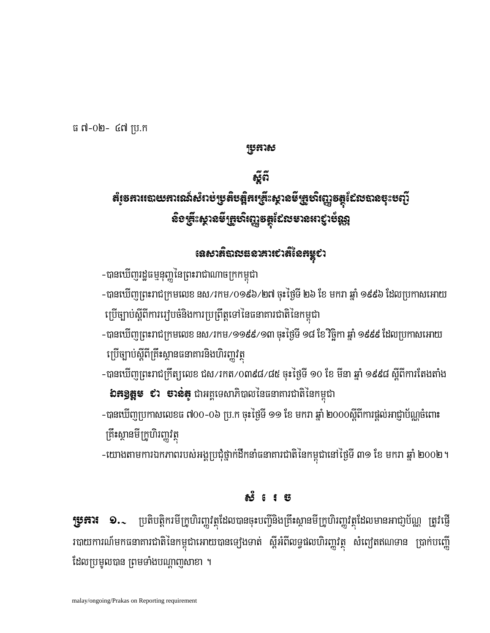**ប្រទះារ ១..** ប្រតិបត្តិករមីក្រូហិរញ្ហវត្ថុដែលបានចុះបញ្ជីនិងគ្រឹះស្ថានមីក្រូហិរញ្ហវត្ថុដែលមានអាជា្ញប័ណ្ណ ត្រូវផ្ញើ របាយការណ៍មកធនាគារជាតិនៃកម្ពុជាអោយបានទ្យេងទាត់ ស្តីអំពីលទ្ធផលហិរញ្ញវត្ថុ សំព្យេតឥណទាន ប្រាក់បញ្ចើ ដែលប្រមូលបាន ព្រមទាំងបណ្តាញសាខា ។

## **හි** 6 1 පි

គ្រឹះស្ថានមីក្រូហិរញ្ញវត្ថ -យោងតាមការឯកភាពរបស់អង្គប្រជុំថ្នាក់ដឹកនាំធនាគារជាតិនៃកម្ពុជានៅថ្ងៃទី ៣១ ខែ មករា ឆ្នាំ ២០០២ ។

-បានឃើញប្រកាសលេខធ ៧០០-០៦ ប្រ.ក ចុះថ្ងៃទី ១១ ខែ មករា ឆ្នាំ ២០០០ស្តីពីការផ្តល់អាជ្ញាប័ណ្ណចំពោះ

**៦ភ3្គូម ៩រ ចាន់ត្** ជាអគ្គទេសាភិបាលនៃធនាគារជាតិនៃកម្ពុជា

ប្រើច្បាប់ស្តីពីគ្រឹះស្ថានផនាគារនិងហិរញ្ញវត្ថ -បានឃើញព្រះរាជក្រឹត្យលេខ ជស/រកត/0៣៩៨/៨៥ ចុះថ្ងៃទី ១០ ខែ មីនា ឆ្នាំ ១៩៩៨ ស្តីពីការតែងតាំង

ប្រើច្បាប់ស្តីពីការរៀបចំនិងការប្រព្រឹត្តទៅនៃធនាគារជាតិនៃកម្ពុជា -បានឃើញព្រះរាជក្រមលេខ នស⁄រកម/១១៩៩/១៣ ចុះថ្ងៃទី ១៨ ខែ វិច្ឆិកា ឆ្នាំ ១៩៩៩ ដែលប្រកាសអោយ

-បានឃើញរដ្ឋធម្មនុញ្ញនៃព្រះរាជាណាចក្រកម្ពុជា -បានឃើញព្រះរាជក្រមលេខ នស⁄រកម/0១៩៦/២៧ ចុះថ្ងៃទី ២៦ ខែ មករា ឆ្នាំ ១៩៩៦ ដែលប្រកាសអោយ

## เฉ<sub>ี</sub>่ยวก็ฉายออกสาเชาลิเ๊ลหหูชา

# อัฏลี តំរូចគាររេលយឝារណ៍សំរាប់ប្រតិបត្តិគរគ្រើះស្ថាលមីគ្រូហិរញ្ញទត្ថដែលបាលចុះបញ្ជី និទគ្រឹះស្គានមីគ្រួសិរញ្ញទត្តដែលមានអាឡាប័ណ្ណ

Rbkas

ធ ៧-០២- ៤៧ ប្រ.ក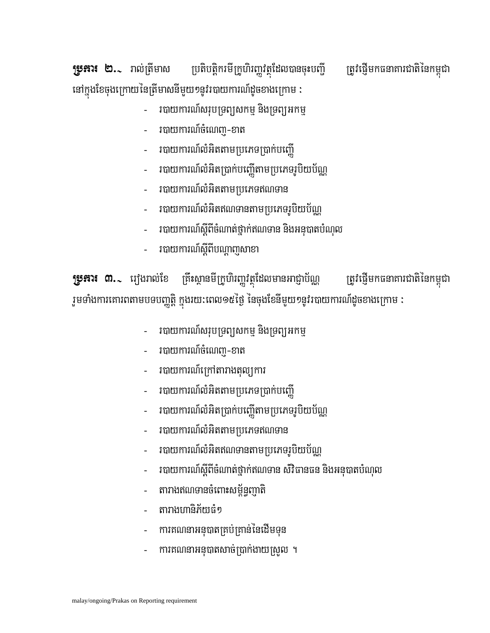$\mathbf{F}$ ្ញុះអារ ២. $\sim$ ាល់ត្រីមាស ប្រតិបត្តិករមីក្រូហិរញ្ញវត្ថុដែលបានចុះបញ្ជី ត្រូវផ្ញើមកធនាគារជាតិនៃកម្ពុជា នៅក្នុងខែចុងក្រោយនៃត្រីមាសនីមួយ១នូវរបាយការណ៍ដូចខាងក្រោម :

- របាយការណ៍សរុបទ្រព្យសកម្ម និងទ្រព្យអកម្ម
- របាយការណ៍ចំណេញ–ខាត
- របាយការណ៍លំអិតតាមប្រភេទប្រាក់បញ្ញើ
- របាយការណ៍លំអិតប្រាក់បញ្ញើតាមប្រភេទរូបិយប័ណ្ណ
- របាយការណ៍លំអិតតាមប្រភេទឥណទាន
- របាយការណ៍លំអិតឥណទានតាមប្រភេទរូបិយប័ណ្ណ
- របាយការណ៍ស្តីពីចំណាត់ថ្នាក់ឥណទាន និងអនុបាតបំណុល
- របាយការណ៍ស្តីពីបណ្តាញសាខា

**ប្រូអារ ៣.**১ រឿងរាល់ខែ ក្រឹះស្ថានមីក្រូហិរញ្ហវត្ថុដែលមានអាជ្ញាប័ណ្ណ ត្រូវផ្ញើមកធនាគារជាតិនៃកម្ពុជា រួមទាំងការគោរពតាមបទបញ្ញត្តិ ក្នុងរយ:ពេល១៥ថ្ងៃ នៃចុងខែនីមួយ១នូវរបាយការណ៍ដូចខាងក្រោម :

- របាយការណ៍សរុបទ្រព្យសកម្ម និងទ្រព្យអកម្ម
- របាយការណ៍ចំណេញ-ខាត
- របាយការណ៍ក្រៅតារាងតុល្យការ
- របាយការណ៍លំអិតតាមប្រភេទប្រាក់បញ្ញើ
- របាយការណ៍លំអិតប្រាក់បញ្ញើតាមប្រភេទរូបិយប័ណ្ណ
- របាយការណ៏លំអិតតាមប្រភេទឥណទាន
- របាយការណ៍លំអិតឥណទានតាមប្រភេទរូបិយប័ណ្ណ
- ាបាយការណ៍ស្តីពីចំណាត់ថ្នាក់ឥណទាន សិវិធានធន និងអនុបាតបំណុល
- តារាងឥណទានចំពោះសម្ព័ន្ធញាតិ
- តារាងហានិភ័យធំ១
- ការគណនាអនុបាតគ្រប់គ្រាន់នៃដើមទុន
- ការគណនាអនុបាតសាច់ប្រាក់ងាយស្រួល ។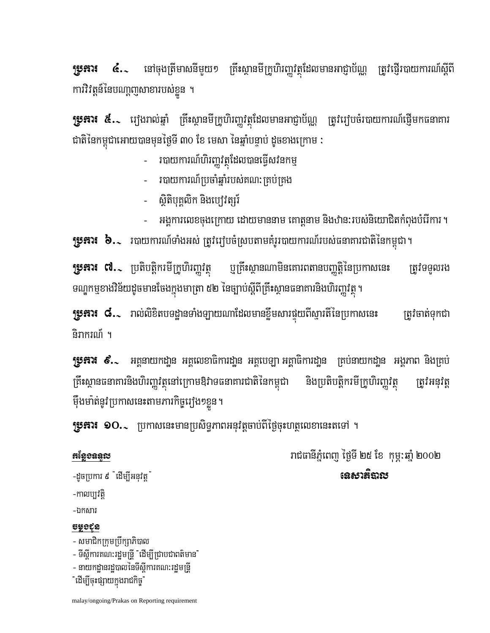នៅចុងត្រីមាសនីមួយ១ គ្រឹះស្ថានមីក្រូហិរញ្ញវត្ថុដែលមានអាជ្ញាប័ណ្ណ ត្រូវផ្ញើរបាយការណ៍ស្តីពី **ប្រភព**រ  $\mathbf{G}$ . ការិវិវត្តន៍នៃបណាញសាខារបស់ខ្លួន ។

**ប្រូភារ៖ ៥..** រឿងរាល់ឆ្នាំ គ្រឹះស្ថានមីក្រូហិរញ្ញវត្ថុដែលមានអាជ្ញាប័ណ្ណ ត្រូវរៀបចំរបាយការណ៍ផ្ញើមកធនាគារ ជាតិនៃកម្ពុជាអោយបានមុនថ្ងៃទី ៣០ ខែ មេសា នៃឆ្នាំបន្ទាប់ ដូចខាងក្រោម :

- របាយការណ៍ហិរញ្ញវត្ថុដែលបានធ្វើសវនកម្ម
- របាយការណ៍ប្រចាំឆ្នាំរបស់គណ: គ្រប់គ្រង
- សិតិបុគ្គលិក និងប្បេវត្សរ៍
- អង្គការលេខចុងក្រោយ ដោយមាននាម គោត្តនាម និងឋាន:របស់និយោជិតកំពុងបំរើការ ។

**រុទ្ធភារ៖ ៦.**៹ របាយការណ៍ទាំងអស់ ត្រូវរៀបចំស្របតាមគំរូរបាយការណ៍របស់ធនាគារជាតិនៃកម្ពុជា។

**រុម្ភភារ ៧.** ប្រតិបត្តិករមីក្រូហិរញ្ញវត្ត ឬគ្រឹះស្ថានណាមិនគោរពតានបញ្ញត្តិនៃប្រកាសនេះ ត្រូវទទលរង ទណ្ឌកម្មខាងវិន័យដូចមានចែងក្នុងមាត្រា ៥២ នៃច្បាប់ស្តីពីគ្រឹះស្ថានធនាគារនិងហិរញ្ញវត្ថុ ។

**ប្រូភារ៖ ៨.**្ រាល់លិខិតបទដ្ឋានទាំងឡាយណាដែលមានខ្លឹមសារផ្ទុយពីស្មារតីនៃប្រកាសនេះ ត្រូវចាត់ទុកជា និរាករណ៍ ។

**ប្រភព៖ ៩.**১ អគ្គនាយកដា្ឋន អគ្គលេខាធិការដា្ឋន អគ្គបេឡា អគ្គាធិការដា្ឋន គ្រប់នាយកដា្ឋន អង្គភាព និងគ្រប់ ត្រឹះស្ថានធនាគារនិងហិរញ្ញវត្ថុនៅក្រោមឱ្យវាទធនាគារជាតិនៃកម្ពុជា និងប្រតិបត្តិករមីក្រូហិរញ្ញវត្ថុ ត្រូវអនុវត្ ម៉ឹងមាំត់នូវប្រកាសនេះតាមភារកិច្ចរឿង១ខ្លួន។

**ប្រូភារ៖ ១O.、** ប្រកាសនេះមានប្រសិទ្ធភាពអនុវត្តចាប់ពីថ្ងៃចុះហត្ថលេខានេះតទៅ ។

#### អន្ថែទឧន្ទរប

រាជធានីភ្នំពេញ ថ្ងៃទី ២៥ ខែ កុម្ភៈឆ្នាំ ២០០២ នេសវត៌ិងរប

## -ដូចប្រការ ៩ "ដើម្បីអនុវត្ត"

-កាលប្បវត្តិ

-ឯកសារ

### uşoçr

- សមាជិកក្រុមប្រឹក្សាភិបាល
- ទីស្តីការគណ:រដ្ឋមន្ត្រី "ដើម្បីជ្រាបជាពត៌មាន"
- នាយកដានរដបាលនៃទីស្តីការគណ:រដមន្រ្តី

"ដើម្បីចុះផ្សាយក្នុងរាជកិច្ច"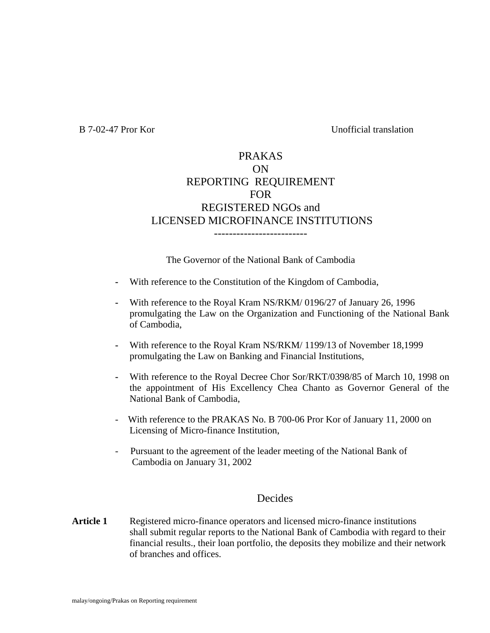B 7-02-47 Pror Kor Unofficial translation

#### PRAKAS ON REPORTING REQUIREMENT FOR REGISTERED NGOs and LICENSED MICROFINANCE INSTITUTIONS -------------------------

The Governor of the National Bank of Cambodia

- **-** With reference to the Constitution of the Kingdom of Cambodia,
- **-** With reference to the Royal Kram NS/RKM/ 0196/27 of January 26, 1996 promulgating the Law on the Organization and Functioning of the National Bank of Cambodia,
- **-** With reference to the Royal Kram NS/RKM/ 1199/13 of November 18,1999 promulgating the Law on Banking and Financial Institutions,
- **-** With reference to the Royal Decree Chor Sor/RKT/0398/85 of March 10, 1998 on the appointment of His Excellency Chea Chanto as Governor General of the National Bank of Cambodia,
- With reference to the PRAKAS No. B 700-06 Pror Kor of January 11, 2000 on Licensing of Micro-finance Institution,
- Pursuant to the agreement of the leader meeting of the National Bank of Cambodia on January 31, 2002

#### **Decides**

Article 1 Registered micro-finance operators and licensed micro-finance institutions shall submit regular reports to the National Bank of Cambodia with regard to their financial results., their loan portfolio, the deposits they mobilize and their network of branches and offices.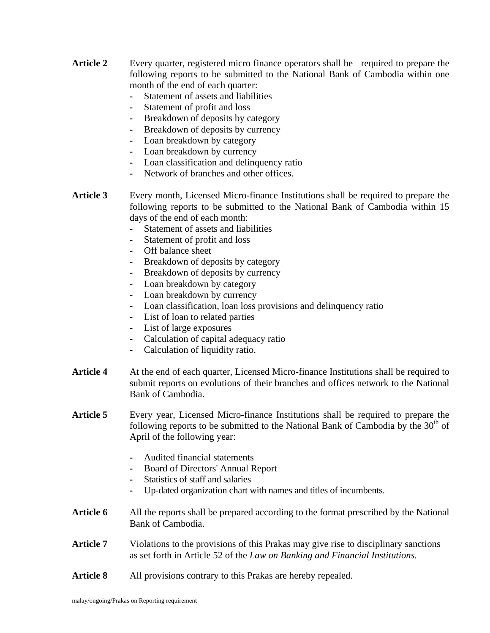- Article 2 Every quarter, registered micro finance operators shall be required to prepare the following reports to be submitted to the National Bank of Cambodia within one month of the end of each quarter:
	- **-** Statement of assets and liabilities
	- **-** Statement of profit and loss
	- **-** Breakdown of deposits by category
	- **-** Breakdown of deposits by currency
	- **-** Loan breakdown by category
	- **-** Loan breakdown by currency
	- **-** Loan classification and delinquency ratio
	- **-** Network of branches and other offices.
- **Article 3** Every month, Licensed Micro-finance Institutions shall be required to prepare the following reports to be submitted to the National Bank of Cambodia within 15 days of the end of each month:
	- **-** Statement of assets and liabilities
	- **-** Statement of profit and loss
	- **-** Off balance sheet
	- **-** Breakdown of deposits by category
	- **-** Breakdown of deposits by currency
	- **-** Loan breakdown by category
	- **-** Loan breakdown by currency
	- **-** Loan classification, loan loss provisions and delinquency ratio
	- **-** List of loan to related parties
	- **-** List of large exposures
	- **-** Calculation of capital adequacy ratio
	- **-** Calculation of liquidity ratio.
- **Article 4** At the end of each quarter, Licensed Micro-finance Institutions shall be required to submit reports on evolutions of their branches and offices network to the National Bank of Cambodia.
- **Article 5** Every year, Licensed Micro-finance Institutions shall be required to prepare the following reports to be submitted to the National Bank of Cambodia by the  $30<sup>th</sup>$  of April of the following year:
	- **-** Audited financial statements
	- **-** Board of Directors' Annual Report
	- **-** Statistics of staff and salaries
	- **-** Up-dated organization chart with names and titles of incumbents.
- Article 6 All the reports shall be prepared according to the format prescribed by the National Bank of Cambodia.
- Article 7 Violations to the provisions of this Prakas may give rise to disciplinary sanctions as set forth in Article 52 of the *Law on Banking and Financial Institutions.*
- Article 8 All provisions contrary to this Prakas are hereby repealed.